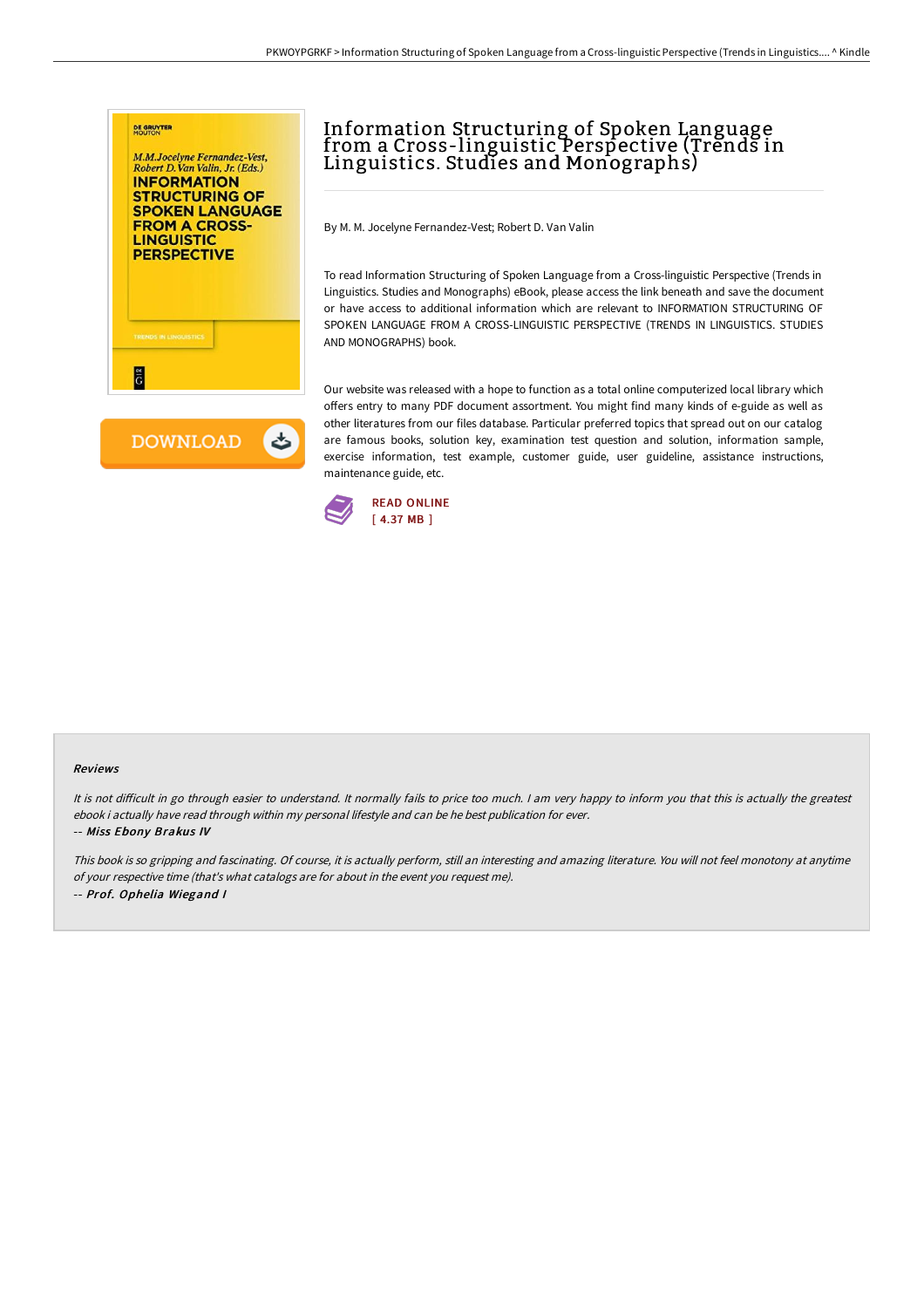



# Information Structuring of Spoken Language from a Cross-linguistic Perspective (Trends in Linguistics. Studies and Monographs)

By M. M. Jocelyne Fernandez-Vest; Robert D. Van Valin

To read Information Structuring of Spoken Language from a Cross-linguistic Perspective (Trends in Linguistics. Studies and Monographs) eBook, please access the link beneath and save the document or have access to additional information which are relevant to INFORMATION STRUCTURING OF SPOKEN LANGUAGE FROM A CROSS-LINGUISTIC PERSPECTIVE (TRENDS IN LINGUISTICS. STUDIES AND MONOGRAPHS) book.

Our website was released with a hope to function as a total online computerized local library which offers entry to many PDF document assortment. You might find many kinds of e-guide as well as other literatures from our files database. Particular preferred topics that spread out on our catalog are famous books, solution key, examination test question and solution, information sample, exercise information, test example, customer guide, user guideline, assistance instructions, maintenance guide, etc.



### Reviews

It is not difficult in go through easier to understand. It normally fails to price too much. I am very happy to inform you that this is actually the greatest ebook i actually have read through within my personal lifestyle and can be he best publication for ever.

### -- Miss Ebony Brakus IV

This book is so gripping and fascinating. Of course, it is actually perform, still an interesting and amazing literature. You will not feel monotony at anytime of your respective time (that's what catalogs are for about in the event you request me). -- Prof. Ophelia Wiegand <sup>I</sup>